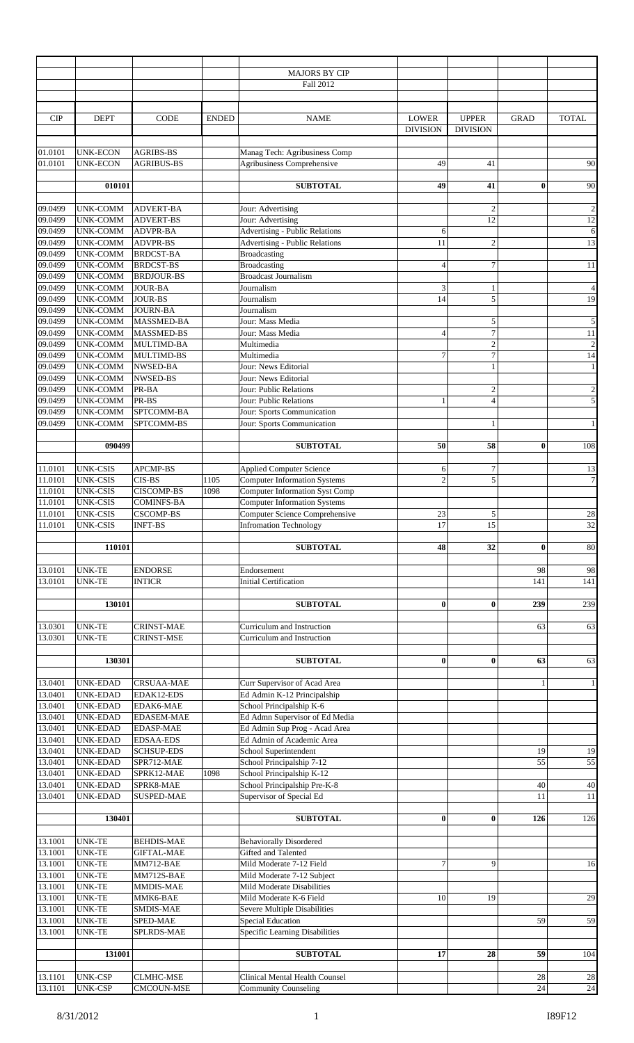|            |                                     |                                       |              | <b>MAJORS BY CIP</b>                                   |                 |                 |             |                          |
|------------|-------------------------------------|---------------------------------------|--------------|--------------------------------------------------------|-----------------|-----------------|-------------|--------------------------|
|            |                                     |                                       |              | Fall 2012                                              |                 |                 |             |                          |
|            |                                     |                                       |              |                                                        |                 |                 |             |                          |
|            |                                     |                                       |              |                                                        |                 |                 |             |                          |
|            |                                     |                                       |              |                                                        |                 |                 | <b>GRAD</b> |                          |
| <b>CIP</b> | <b>DEPT</b>                         | CODE                                  | <b>ENDED</b> | <b>NAME</b>                                            | <b>LOWER</b>    | <b>UPPER</b>    |             | <b>TOTAL</b>             |
|            |                                     |                                       |              |                                                        | <b>DIVISION</b> | <b>DIVISION</b> |             |                          |
|            |                                     |                                       |              |                                                        |                 |                 |             |                          |
| 01.0101    | <b>UNK-ECON</b>                     | <b>AGRIBS-BS</b>                      |              | Manag Tech: Agribusiness Comp                          |                 |                 |             |                          |
| 01.0101    | <b>UNK-ECON</b>                     | <b>AGRIBUS-BS</b>                     |              | Agribusiness Comprehensive                             | 49              | 41              |             | 90                       |
|            |                                     |                                       |              |                                                        |                 |                 |             |                          |
|            | 010101                              |                                       |              | <b>SUBTOTAL</b>                                        | 49              | 41              | $\bf{0}$    | 90                       |
|            |                                     |                                       |              |                                                        |                 |                 |             |                          |
| 09.0499    | <b>UNK-COMM</b>                     | <b>ADVERT-BA</b>                      |              | Jour: Advertising                                      |                 | $\overline{2}$  |             | $\boldsymbol{2}$         |
| 09.0499    | <b>UNK-COMM</b>                     | <b>ADVERT-BS</b>                      |              | Jour: Advertising                                      |                 | 12              |             | 12                       |
| 09.0499    |                                     | <b>ADVPR-BA</b>                       |              | <b>Advertising - Public Relations</b>                  |                 |                 |             |                          |
|            | <b>UNK-COMM</b>                     |                                       |              |                                                        | 6               |                 |             | 6                        |
| 09.0499    | <b>UNK-COMM</b>                     | <b>ADVPR-BS</b>                       |              | <b>Advertising - Public Relations</b>                  | 11              | $\overline{c}$  |             | 13                       |
| 09.0499    | <b>UNK-COMM</b>                     | <b>BRDCST-BA</b>                      |              | <b>Broadcasting</b>                                    |                 |                 |             |                          |
| 09.0499    | <b>UNK-COMM</b>                     | <b>BRDCST-BS</b>                      |              | Broadcasting                                           | $\overline{4}$  | 7               |             | $11\,$                   |
| 09.0499    | <b>UNK-COMM</b>                     | <b>BRDJOUR-BS</b>                     |              | <b>Broadcast Journalism</b>                            |                 |                 |             |                          |
| 09.0499    | <b>UNK-COMM</b>                     | <b>JOUR-BA</b>                        |              | Journalism                                             | 3               |                 |             | $\overline{\mathcal{L}}$ |
| 09.0499    | <b>UNK-COMM</b>                     | JOUR-BS                               |              | Journalism                                             | 14              | 5               |             | 19                       |
| 09.0499    | UNK-COMM                            | <b>JOURN-BA</b>                       |              | Journalism                                             |                 |                 |             |                          |
| 09.0499    | <b>UNK-COMM</b>                     | MASSMED-BA                            |              | Jour: Mass Media                                       |                 | 5               |             | $\sqrt{5}$               |
| 09.0499    |                                     | <b>MASSMED-BS</b>                     |              |                                                        | $\overline{4}$  | 7               |             | 11                       |
|            | <b>UNK-COMM</b>                     |                                       |              | Jour: Mass Media                                       |                 |                 |             |                          |
| 09.0499    | <b>UNK-COMM</b>                     | MULTIMD-BA                            |              | Multimedia                                             |                 | $\mathfrak{2}$  |             | $\boldsymbol{2}$         |
| 09.0499    | UNK-COMM                            | MULTIMD-BS                            |              | Multimedia                                             | $\tau$          | 7               |             | 14                       |
| 09.0499    | <b>UNK-COMM</b>                     | NWSED-BA                              |              | Jour: News Editorial                                   |                 |                 |             | $\mathbf{1}$             |
| 09.0499    | UNK-COMM                            | NWSED-BS                              |              | Jour: News Editorial                                   |                 |                 |             |                          |
| 09.0499    | <b>UNK-COMM</b>                     | PR-BA                                 |              | Jour: Public Relations                                 |                 | $\overline{c}$  |             | $\sqrt{2}$               |
| 09.0499    | <b>UNK-COMM</b>                     | PR-BS                                 |              | Jour: Public Relations                                 | $\mathbf{1}$    | $\overline{4}$  |             | $\overline{5}$           |
| 09.0499    | UNK-COMM                            | SPTCOMM-BA                            |              | Jour: Sports Communication                             |                 |                 |             |                          |
| 09.0499    | <b>UNK-COMM</b>                     | SPTCOMM-BS                            |              | Jour: Sports Communication                             |                 |                 |             | $\mathbf{1}$             |
|            |                                     |                                       |              |                                                        |                 |                 |             |                          |
|            |                                     |                                       |              |                                                        |                 |                 |             |                          |
|            | 090499                              |                                       |              | <b>SUBTOTAL</b>                                        | 50              | 58              | $\bf{0}$    | 108                      |
|            |                                     |                                       |              |                                                        |                 |                 |             |                          |
| 11.0101    | <b>UNK-CSIS</b>                     | APCMP-BS                              |              | <b>Applied Computer Science</b>                        | 6               | $\tau$          |             | 13                       |
| 11.0101    | <b>UNK-CSIS</b>                     | CIS-BS                                | 1105         | <b>Computer Information Systems</b>                    | $\overline{2}$  | 5               |             | $7\vert$                 |
| 11.0101    | <b>UNK-CSIS</b>                     | <b>CISCOMP-BS</b>                     | 1098         | <b>Computer Information Syst Comp</b>                  |                 |                 |             |                          |
| 11.0101    | <b>UNK-CSIS</b>                     | <b>COMINFS-BA</b>                     |              | <b>Computer Information Systems</b>                    |                 |                 |             |                          |
| 11.0101    | <b>UNK-CSIS</b>                     | <b>CSCOMP-BS</b>                      |              | Computer Science Comprehensive                         | 23              | 5               |             | $28\,$                   |
| 11.0101    | <b>UNK-CSIS</b>                     | <b>INFT-BS</b>                        |              | <b>Infromation Technology</b>                          | 17              | 15              |             | 32                       |
|            |                                     |                                       |              |                                                        |                 |                 |             |                          |
|            |                                     |                                       |              |                                                        |                 |                 |             |                          |
|            | 110101                              |                                       |              | <b>SUBTOTAL</b>                                        | 48              | 32              | $\bf{0}$    | 80                       |
|            |                                     |                                       |              |                                                        |                 |                 |             |                          |
| 13.0101    | <b>UNK-TE</b>                       | <b>ENDORSE</b>                        |              | Endorsement                                            |                 |                 | 98          | 98                       |
| 13.0101    | <b>UNK-TE</b>                       | <b>INTICR</b>                         |              | <b>Initial Certification</b>                           |                 |                 | 141         | 141                      |
|            |                                     |                                       |              |                                                        |                 |                 |             |                          |
|            | 130101                              |                                       |              | <b>SUBTOTAL</b>                                        | $\bf{0}$        | $\bf{0}$        | 239         | 239                      |
|            |                                     |                                       |              |                                                        |                 |                 |             |                          |
|            |                                     | <b>CRINST-MAE</b>                     |              |                                                        |                 |                 | 63          |                          |
| 13.0301    | <b>UNK-TE</b>                       |                                       |              | Curriculum and Instruction                             |                 |                 |             | 63                       |
| 13.0301    | <b>UNK-TE</b>                       | <b>CRINST-MSE</b>                     |              | Curriculum and Instruction                             |                 |                 |             |                          |
|            |                                     |                                       |              |                                                        |                 |                 |             |                          |
|            | 130301                              |                                       |              |                                                        |                 |                 |             |                          |
|            |                                     |                                       |              | <b>SUBTOTAL</b>                                        | $\bf{0}$        | $\bf{0}$        | 63          | 63                       |
| 13.0401    |                                     |                                       |              |                                                        |                 |                 |             |                          |
|            | <b>UNK-EDAD</b>                     | <b>CRSUAA-MAE</b>                     |              | Curr Supervisor of Acad Area                           |                 |                 | 1           | $\mathbf{1}$             |
| 13.0401    | <b>UNK-EDAD</b>                     | EDAK12-EDS                            |              |                                                        |                 |                 |             |                          |
|            |                                     |                                       |              | Ed Admin K-12 Principalship                            |                 |                 |             |                          |
| 13.0401    | <b>UNK-EDAD</b>                     | EDAK6-MAE                             |              | School Principalship K-6                               |                 |                 |             |                          |
| 13.0401    | <b>UNK-EDAD</b>                     | <b>EDASEM-MAE</b>                     |              | Ed Admn Supervisor of Ed Media                         |                 |                 |             |                          |
| 13.0401    | <b>UNK-EDAD</b>                     | <b>EDASP-MAE</b>                      |              | Ed Admin Sup Prog - Acad Area                          |                 |                 |             |                          |
| 13.0401    | <b>UNK-EDAD</b>                     | <b>EDSAA-EDS</b>                      |              | Ed Admin of Academic Area                              |                 |                 |             |                          |
| 13.0401    | <b>UNK-EDAD</b>                     | <b>SCHSUP-EDS</b>                     |              | School Superintendent                                  |                 |                 | 19          | 19                       |
| 13.0401    | <b>UNK-EDAD</b>                     | SPR712-MAE                            |              | School Principalship 7-12                              |                 |                 | 55          |                          |
| 13.0401    | <b>UNK-EDAD</b>                     | SPRK12-MAE                            | 1098         | School Principalship K-12                              |                 |                 |             |                          |
| 13.0401    | <b>UNK-EDAD</b>                     | SPRK8-MAE                             |              | School Principalship Pre-K-8                           |                 |                 | 40          |                          |
|            |                                     |                                       |              |                                                        |                 |                 |             |                          |
| 13.0401    | <b>UNK-EDAD</b>                     | <b>SUSPED-MAE</b>                     |              | Supervisor of Special Ed                               |                 |                 | 11          |                          |
|            |                                     |                                       |              |                                                        |                 |                 |             |                          |
|            | 130401                              |                                       |              | <b>SUBTOTAL</b>                                        | $\bf{0}$        | 0               | 126         | 55<br>40<br>11<br>126    |
|            |                                     |                                       |              |                                                        |                 |                 |             |                          |
| 13.1001    | <b>UNK-TE</b>                       | <b>BEHDIS-MAE</b>                     |              | <b>Behaviorally Disordered</b>                         |                 |                 |             |                          |
| 13.1001    | <b>UNK-TE</b>                       | <b>GIFTAL-MAE</b>                     |              | Gifted and Talented                                    |                 |                 |             |                          |
| 13.1001    | <b>UNK-TE</b>                       | MM712-BAE                             |              | Mild Moderate 7-12 Field                               | $\overline{7}$  | 9               |             |                          |
| 13.1001    | <b>UNK-TE</b>                       | MM712S-BAE                            |              | Mild Moderate 7-12 Subject                             |                 |                 |             | 16                       |
| 13.1001    | <b>UNK-TE</b>                       | <b>MMDIS-MAE</b>                      |              | Mild Moderate Disabilities                             |                 |                 |             |                          |
| 13.1001    | <b>UNK-TE</b>                       | MMK6-BAE                              |              | Mild Moderate K-6 Field                                | 10              | 19              |             | 29                       |
| 13.1001    | <b>UNK-TE</b>                       | <b>SMDIS-MAE</b>                      |              | Severe Multiple Disabilities                           |                 |                 |             |                          |
|            |                                     | SPED-MAE                              |              |                                                        |                 |                 | 59          |                          |
| 13.1001    | <b>UNK-TE</b>                       |                                       |              | <b>Special Education</b>                               |                 |                 |             | 59                       |
| 13.1001    | <b>UNK-TE</b>                       | SPLRDS-MAE                            |              | Specific Learning Disabilities                         |                 |                 |             |                          |
|            |                                     |                                       |              |                                                        |                 |                 |             |                          |
|            | 131001                              |                                       |              | <b>SUBTOTAL</b>                                        | 17              | 28              | 59          | 104                      |
|            |                                     |                                       |              |                                                        |                 |                 |             |                          |
| 13.1101    | <b>UNK-CSP</b><br>13.1101   UNK-CSP | <b>CLMHC-MSE</b><br><b>CMCOUN-MSE</b> |              | Clinical Mental Health Counsel<br>Community Counseling |                 |                 | 28<br>24    | 28<br>24                 |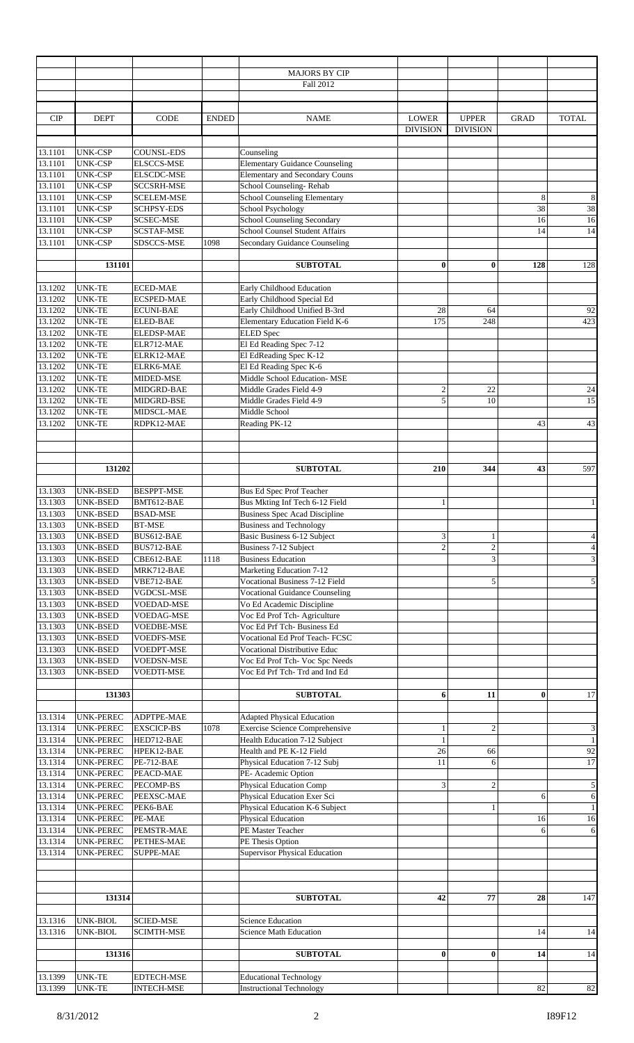|            |                  |                   |              | MAJORS BY CIP                         |                           |                  |             |                         |
|------------|------------------|-------------------|--------------|---------------------------------------|---------------------------|------------------|-------------|-------------------------|
|            |                  |                   |              | Fall 2012                             |                           |                  |             |                         |
|            |                  |                   |              |                                       |                           |                  |             |                         |
|            |                  |                   |              |                                       |                           |                  |             |                         |
| <b>CIP</b> | <b>DEPT</b>      | <b>CODE</b>       | <b>ENDED</b> | <b>NAME</b>                           | <b>LOWER</b>              | <b>UPPER</b>     | <b>GRAD</b> | <b>TOTAL</b>            |
|            |                  |                   |              |                                       | <b>DIVISION</b>           | <b>DIVISION</b>  |             |                         |
|            |                  |                   |              |                                       |                           |                  |             |                         |
|            |                  |                   |              |                                       |                           |                  |             |                         |
| 13.1101    | <b>UNK-CSP</b>   | <b>COUNSL-EDS</b> |              | Counseling                            |                           |                  |             |                         |
| 13.1101    | <b>UNK-CSP</b>   | <b>ELSCCS-MSE</b> |              | <b>Elementary Guidance Counseling</b> |                           |                  |             |                         |
| 13.1101    | <b>UNK-CSP</b>   | ELSCDC-MSE        |              | Elementary and Secondary Couns        |                           |                  |             |                         |
| 13.1101    | <b>UNK-CSP</b>   | <b>SCCSRH-MSE</b> |              | School Counseling-Rehab               |                           |                  |             |                         |
| 13.1101    | <b>UNK-CSP</b>   | <b>SCELEM-MSE</b> |              | <b>School Counseling Elementary</b>   |                           |                  | 8           | $\,8\,$                 |
| 13.1101    | <b>UNK-CSP</b>   | <b>SCHPSY-EDS</b> |              | School Psychology                     |                           |                  | 38          | 38                      |
| 13.1101    | <b>UNK-CSP</b>   | <b>SCSEC-MSE</b>  |              | School Counseling Secondary           |                           |                  | 16          | 16                      |
| 13.1101    | <b>UNK-CSP</b>   | <b>SCSTAF-MSE</b> |              | School Counsel Student Affairs        |                           |                  | 14          | 14                      |
| 13.1101    | <b>UNK-CSP</b>   | SDSCCS-MSE        | 1098         | Secondary Guidance Counseling         |                           |                  |             |                         |
|            |                  |                   |              |                                       |                           |                  |             |                         |
|            | 131101           |                   |              | <b>SUBTOTAL</b>                       | $\bf{0}$                  | $\bf{0}$         | 128         | 128                     |
|            |                  |                   |              |                                       |                           |                  |             |                         |
| 13.1202    | <b>UNK-TE</b>    | <b>ECED-MAE</b>   |              | Early Childhood Education             |                           |                  |             |                         |
| 13.1202    | <b>UNK-TE</b>    | <b>ECSPED-MAE</b> |              | Early Childhood Special Ed            |                           |                  |             |                         |
| 13.1202    | <b>UNK-TE</b>    | <b>ECUNI-BAE</b>  |              | Early Childhood Unified B-3rd         | 28                        | 64               |             | 92                      |
| 13.1202    | <b>UNK-TE</b>    | <b>ELED-BAE</b>   |              | Elementary Education Field K-6        | 175                       | 248              |             | 423                     |
|            |                  |                   |              |                                       |                           |                  |             |                         |
| 13.1202    | <b>UNK-TE</b>    | <b>ELEDSP-MAE</b> |              | <b>ELED</b> Spec                      |                           |                  |             |                         |
| 13.1202    | <b>UNK-TE</b>    | ELR712-MAE        |              | El Ed Reading Spec 7-12               |                           |                  |             |                         |
| 13.1202    | <b>UNK-TE</b>    | ELRK12-MAE        |              | El EdReading Spec K-12                |                           |                  |             |                         |
| 13.1202    | <b>UNK-TE</b>    | ELRK6-MAE         |              | El Ed Reading Spec K-6                |                           |                  |             |                         |
| 13.1202    | <b>UNK-TE</b>    | MIDED-MSE         |              | Middle School Education-MSE           |                           |                  |             |                         |
| 13.1202    | <b>UNK-TE</b>    | MIDGRD-BAE        |              | Middle Grades Field 4-9               | $\sqrt{2}$                | 22               |             | 24                      |
| 13.1202    | <b>UNK-TE</b>    | MIDGRD-BSE        |              | Middle Grades Field 4-9               | $\sqrt{5}$                | 10               |             | 15                      |
| 13.1202    | <b>UNK-TE</b>    | MIDSCL-MAE        |              | Middle School                         |                           |                  |             |                         |
| 13.1202    | <b>UNK-TE</b>    | RDPK12-MAE        |              | Reading PK-12                         |                           |                  | 43          | 43                      |
|            |                  |                   |              |                                       |                           |                  |             |                         |
|            |                  |                   |              |                                       |                           |                  |             |                         |
|            |                  |                   |              |                                       |                           |                  |             |                         |
|            | 131202           |                   |              | <b>SUBTOTAL</b>                       | 210                       | 344              | 43          | 597                     |
|            |                  |                   |              |                                       |                           |                  |             |                         |
|            |                  |                   |              |                                       |                           |                  |             |                         |
| 13.1303    | UNK-BSED         | <b>BESPPT-MSE</b> |              | Bus Ed Spec Prof Teacher              |                           |                  |             |                         |
| 13.1303    | UNK-BSED         | BMT612-BAE        |              | Bus Mkting Inf Tech 6-12 Field        | $\mathbf{1}$              |                  |             | $\mathbf{1}$            |
| 13.1303    | UNK-BSED         | <b>BSAD-MSE</b>   |              | <b>Business Spec Acad Discipline</b>  |                           |                  |             |                         |
| 13.1303    | <b>UNK-BSED</b>  | <b>BT-MSE</b>     |              | <b>Business and Technology</b>        |                           |                  |             |                         |
| 13.1303    | UNK-BSED         | BUS612-BAE        |              | Basic Business 6-12 Subject           | $\ensuremath{\mathbf{3}}$ | 1                |             | $\overline{4}$          |
| 13.1303    | UNK-BSED         | BUS712-BAE        |              | Business 7-12 Subject                 | $\overline{2}$            | $\boldsymbol{2}$ |             | $\overline{\mathbf{4}}$ |
| 13.1303    | UNK-BSED         | CBE612-BAE        | 1118         | <b>Business Education</b>             |                           | 3                |             | $\mathfrak{Z}$          |
| 13.1303    | UNK-BSED         | MRK712-BAE        |              | Marketing Education 7-12              |                           |                  |             |                         |
| 13.1303    | UNK-BSED         | VBE712-BAE        |              | <b>Vocational Business 7-12 Field</b> |                           | 5                |             | 5                       |
| 13.1303    | UNK-BSED         | VGDCSL-MSE        |              | <b>Vocational Guidance Counseling</b> |                           |                  |             |                         |
| 13.1303    | UNK-BSED         | <b>VOEDAD-MSE</b> |              | Vo Ed Academic Discipline             |                           |                  |             |                         |
| 13.1303    | UNK-BSED         | VOEDAG-MSE        |              | Voc Ed Prof Tch- Agriculture          |                           |                  |             |                         |
| 13.1303    | UNK-BSED         | <b>VOEDBE-MSE</b> |              | Voc Ed Prf Tch- Business Ed           |                           |                  |             |                         |
| 13.1303    | UNK-BSED         | <b>VOEDFS-MSE</b> |              | Vocational Ed Prof Teach- FCSC        |                           |                  |             |                         |
| 13.1303    | UNK-BSED         | VOEDPT-MSE        |              | <b>Vocational Distributive Educ</b>   |                           |                  |             |                         |
| 13.1303    | UNK-BSED         | <b>VOEDSN-MSE</b> |              |                                       |                           |                  |             |                         |
|            |                  |                   |              | Voc Ed Prof Tch- Voc Spc Needs        |                           |                  |             |                         |
| 13.1303    | UNK-BSED         | VOEDTI-MSE        |              | Voc Ed Prf Tch-Trd and Ind Ed         |                           |                  |             |                         |
|            |                  |                   |              |                                       |                           |                  |             |                         |
|            | 131303           |                   |              | <b>SUBTOTAL</b>                       | 6                         | 11               | $\bf{0}$    | 17                      |
|            |                  |                   |              |                                       |                           |                  |             |                         |
| 13.1314    | UNK-PEREC        | ADPTPE-MAE        |              | <b>Adapted Physical Education</b>     |                           |                  |             |                         |
| 13.1314    | UNK-PEREC        | <b>EXSCICP-BS</b> | 1078         | <b>Exercise Science Comprehensive</b> | $\mathbf{1}$              | $\overline{2}$   |             | $\mathfrak z$           |
| 13.1314    | UNK-PEREC        | HED712-BAE        |              | Health Education 7-12 Subject         | $\mathbf{1}$              |                  |             | $\overline{1}$          |
| 13.1314    | UNK-PEREC        | HPEK12-BAE        |              | Health and PE K-12 Field              | $26\,$                    | 66               |             | 92                      |
| 13.1314    | UNK-PEREC        | <b>PE-712-BAE</b> |              | Physical Education 7-12 Subj          | 11                        | 6                |             | 17                      |
| 13.1314    | UNK-PEREC        | PEACD-MAE         |              | PE- Academic Option                   |                           |                  |             |                         |
| 13.1314    | UNK-PEREC        | PECOMP-BS         |              | <b>Physical Education Comp</b>        | $\mathfrak{Z}$            | $\overline{c}$   |             | 5                       |
| 13.1314    | UNK-PEREC        | PEEXSC-MAE        |              | Physical Education Exer Sci           |                           |                  | 6           | 6                       |
| 13.1314    | UNK-PEREC        | PEK6-BAE          |              | Physical Education K-6 Subject        |                           | 1                |             | $\mathbf{1}$            |
| 13.1314    | <b>UNK-PEREC</b> | PE-MAE            |              | <b>Physical Education</b>             |                           |                  | 16          | 16                      |
| 13.1314    | <b>UNK-PEREC</b> | PEMSTR-MAE        |              | PE Master Teacher                     |                           |                  | 6           | 6                       |
| 13.1314    | <b>UNK-PEREC</b> | PETHES-MAE        |              | PE Thesis Option                      |                           |                  |             |                         |
| 13.1314    | UNK-PEREC        | <b>SUPPE-MAE</b>  |              | <b>Supervisor Physical Education</b>  |                           |                  |             |                         |
|            |                  |                   |              |                                       |                           |                  |             |                         |
|            |                  |                   |              |                                       |                           |                  |             |                         |
|            |                  |                   |              |                                       |                           |                  |             |                         |
|            |                  |                   |              |                                       |                           |                  |             |                         |
|            | 131314           |                   |              | <b>SUBTOTAL</b>                       | 42                        | 77               | 28          | 147                     |
|            |                  |                   |              |                                       |                           |                  |             |                         |
| 13.1316    | UNK-BIOL         | <b>SCIED-MSE</b>  |              | <b>Science Education</b>              |                           |                  |             |                         |
| 13.1316    | UNK-BIOL         | <b>SCIMTH-MSE</b> |              | <b>Science Math Education</b>         |                           |                  | 14          | 14                      |
|            |                  |                   |              |                                       |                           |                  |             |                         |
|            | 131316           |                   |              | <b>SUBTOTAL</b>                       | $\bf{0}$                  | $\bf{0}$         | 14          | 14                      |
|            |                  |                   |              |                                       |                           |                  |             |                         |
| 13.1399    | <b>UNK-TE</b>    | <b>EDTECH-MSE</b> |              | <b>Educational Technology</b>         |                           |                  |             |                         |
| 13.1399    | <b>UNK-TE</b>    | <b>INTECH-MSE</b> |              | <b>Instructional Technology</b>       |                           |                  | 82          | 82                      |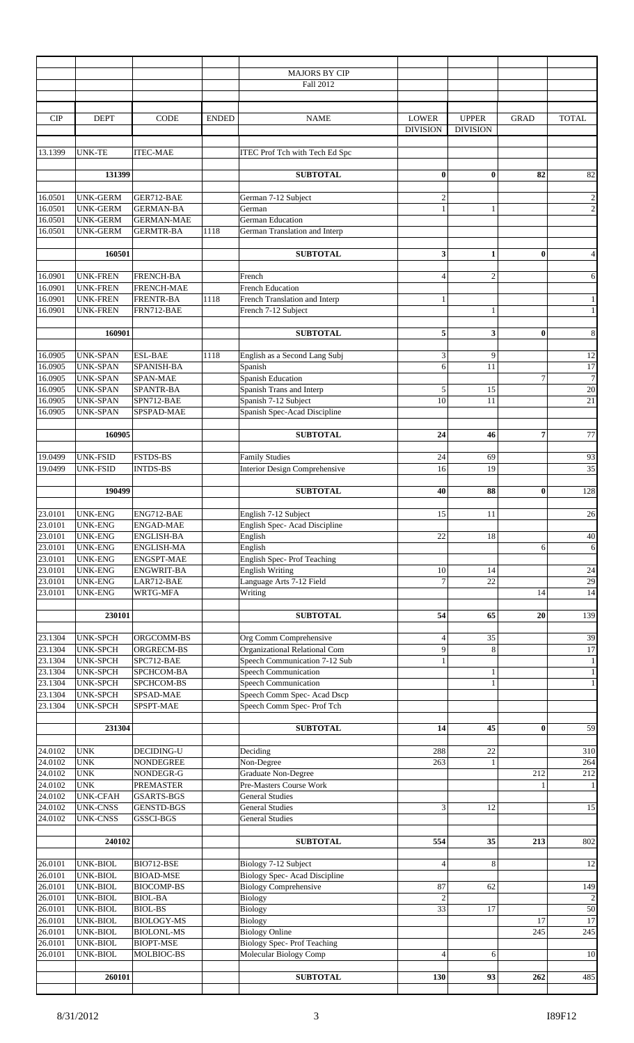|                    |                                    |                                  |              | <b>MAJORS BY CIP</b>                                           |                          |                 |                |                        |
|--------------------|------------------------------------|----------------------------------|--------------|----------------------------------------------------------------|--------------------------|-----------------|----------------|------------------------|
|                    |                                    |                                  |              | Fall 2012                                                      |                          |                 |                |                        |
|                    |                                    |                                  |              |                                                                |                          |                 |                |                        |
|                    |                                    |                                  |              |                                                                |                          |                 |                |                        |
| <b>CIP</b>         | <b>DEPT</b>                        | <b>CODE</b>                      | <b>ENDED</b> | <b>NAME</b>                                                    | <b>LOWER</b>             | <b>UPPER</b>    | <b>GRAD</b>    | <b>TOTAL</b>           |
|                    |                                    |                                  |              |                                                                | <b>DIVISION</b>          | <b>DIVISION</b> |                |                        |
|                    |                                    |                                  |              |                                                                |                          |                 |                |                        |
| 13.1399            | <b>UNK-TE</b>                      | <b>ITEC-MAE</b>                  |              | ITEC Prof Tch with Tech Ed Spc                                 |                          |                 |                |                        |
|                    |                                    |                                  |              |                                                                |                          |                 |                |                        |
|                    | 131399                             |                                  |              | <b>SUBTOTAL</b>                                                | $\bf{0}$                 | $\mathbf{0}$    | 82             | 82                     |
|                    |                                    |                                  |              |                                                                |                          |                 |                |                        |
| 16.0501            | <b>UNK-GERM</b>                    | GER712-BAE                       |              | German 7-12 Subject                                            | $\mathfrak{2}$           |                 |                | $\overline{2}$         |
| 16.0501            | <b>UNK-GERM</b>                    | <b>GERMAN-BA</b>                 |              | German                                                         | $\mathbf{1}$             | $\mathbf{1}$    |                | $\overline{c}$         |
| 16.0501<br>16.0501 | <b>UNK-GERM</b>                    | <b>GERMAN-MAE</b>                |              | <b>German Education</b>                                        |                          |                 |                |                        |
|                    | UNK-GERM                           | <b>GERMTR-BA</b>                 | 1118         | German Translation and Interp                                  |                          |                 |                |                        |
|                    | 160501                             |                                  |              | <b>SUBTOTAL</b>                                                | 3                        | $\mathbf{1}$    | $\bf{0}$       | $\overline{4}$         |
|                    |                                    |                                  |              |                                                                |                          |                 |                |                        |
| 16.0901            | <b>UNK-FREN</b>                    | <b>FRENCH-BA</b>                 |              | French                                                         | $\overline{4}$           | $\overline{2}$  |                | 6                      |
| 16.0901            | <b>UNK-FREN</b>                    | FRENCH-MAE                       |              | <b>French Education</b>                                        |                          |                 |                |                        |
| 16.0901            | <b>UNK-FREN</b>                    | <b>FRENTR-BA</b>                 | 1118         | French Translation and Interp                                  | $\mathbf{1}$             |                 |                | $\mathbf{1}$           |
| 16.0901            | <b>UNK-FREN</b>                    | FRN712-BAE                       |              | French 7-12 Subject                                            |                          | 1               |                | $\mathbf{1}$           |
|                    |                                    |                                  |              |                                                                |                          |                 |                |                        |
|                    | 160901                             |                                  |              | <b>SUBTOTAL</b>                                                | 5                        | 3               | $\bf{0}$       | 8                      |
|                    |                                    |                                  |              |                                                                |                          |                 |                |                        |
| 16.0905            | <b>UNK-SPAN</b>                    | <b>ESL-BAE</b>                   | 1118         | English as a Second Lang Subj                                  | 3                        | 9               |                | 12                     |
| 16.0905            | <b>UNK-SPAN</b>                    | SPANISH-BA                       |              | Spanish                                                        | 6                        | 11              |                | 17                     |
| 16.0905            | <b>UNK-SPAN</b>                    | SPAN-MAE                         |              | Spanish Education                                              |                          |                 | $\overline{7}$ | $\overline{7}$         |
| 16.0905            | <b>UNK-SPAN</b>                    | SPANTR-BA                        |              | Spanish Trans and Interp                                       | 5                        | 15              |                | 20                     |
| 16.0905            | <b>UNK-SPAN</b>                    | SPN712-BAE                       |              | Spanish 7-12 Subject                                           | 10                       | 11              |                | 21                     |
| 16.0905            | <b>UNK-SPAN</b>                    | SPSPAD-MAE                       |              | Spanish Spec-Acad Discipline                                   |                          |                 |                |                        |
|                    |                                    |                                  |              |                                                                |                          |                 |                |                        |
|                    | 160905                             |                                  |              | <b>SUBTOTAL</b>                                                | 24                       | 46              | $\overline{7}$ | 77                     |
|                    |                                    |                                  |              |                                                                |                          |                 |                |                        |
| 19.0499            | UNK-FSID                           | <b>FSTDS-BS</b>                  |              | <b>Family Studies</b>                                          | 24                       | 69              |                | 93                     |
| 19.0499            | <b>UNK-FSID</b>                    | <b>INTDS-BS</b>                  |              | Interior Design Comprehensive                                  | 16                       | 19              |                | 35                     |
|                    |                                    |                                  |              |                                                                |                          |                 |                |                        |
|                    | 190499                             |                                  |              | <b>SUBTOTAL</b>                                                | 40                       | 88              | $\bf{0}$       | 128                    |
|                    |                                    |                                  |              |                                                                |                          |                 |                |                        |
| 23.0101            | <b>UNK-ENG</b>                     | ENG712-BAE                       |              | English 7-12 Subject                                           | 15                       | 11              |                | 26                     |
| 23.0101            | <b>UNK-ENG</b>                     | <b>ENGAD-MAE</b>                 |              | English Spec-Acad Discipline                                   |                          |                 |                |                        |
| 23.0101            | <b>UNK-ENG</b>                     | ENGLISH-BA                       |              | English                                                        | 22                       | 18              |                | 40                     |
| 23.0101            | <b>UNK-ENG</b>                     | ENGLISH-MA                       |              | English                                                        |                          |                 | 6              | 6                      |
| 23.0101<br>23.0101 | <b>UNK-ENG</b>                     | ENGSPT-MAE                       |              | <b>English Spec-Prof Teaching</b>                              |                          |                 |                |                        |
|                    | <b>UNK-ENG</b>                     | <b>ENGWRIT-BA</b>                |              | <b>English Writing</b>                                         | 10                       | 14              |                | 24                     |
| 23.0101            | <b>UNK-ENG</b>                     | LAR712-BAE                       |              | Language Arts 7-12 Field                                       | $\overline{7}$           | 22              |                | 29                     |
| 23.0101            | <b>UNK-ENG</b>                     | WRTG-MFA                         |              | Writing                                                        |                          |                 | 14             | 14                     |
|                    |                                    |                                  |              |                                                                |                          |                 |                |                        |
|                    | 230101                             |                                  |              | <b>SUBTOTAL</b>                                                | 54                       | 65              | 20             | 139                    |
| 23.1304            |                                    |                                  |              |                                                                |                          |                 |                |                        |
|                    | <b>UNK-SPCH</b>                    | ORGCOMM-BS                       |              | Org Comm Comprehensive                                         | $\overline{\mathcal{L}}$ | 35<br>8         |                | 39                     |
| 23.1304<br>23.1304 | <b>UNK-SPCH</b><br><b>UNK-SPCH</b> | ORGRECM-BS<br>SPC712-BAE         |              | Organizational Relational Com<br>Speech Communication 7-12 Sub | 9<br>$\mathbf{1}$        |                 |                | $17\,$<br>$\mathbf{1}$ |
| 23.1304            | <b>UNK-SPCH</b>                    | SPCHCOM-BA                       |              | <b>Speech Communication</b>                                    |                          | 1               |                | 1                      |
| 23.1304            | <b>UNK-SPCH</b>                    | SPCHCOM-BS                       |              | <b>Speech Communication</b>                                    |                          | $\mathbf{1}$    |                | 1                      |
| 23.1304            | <b>UNK-SPCH</b>                    | SPSAD-MAE                        |              | Speech Comm Spec- Acad Dscp                                    |                          |                 |                |                        |
| 23.1304            | UNK-SPCH                           | SPSPT-MAE                        |              | Speech Comm Spec- Prof Tch                                     |                          |                 |                |                        |
|                    |                                    |                                  |              |                                                                |                          |                 |                |                        |
|                    | 231304                             |                                  |              | <b>SUBTOTAL</b>                                                | 14                       | 45              | $\bf{0}$       | 59                     |
|                    |                                    |                                  |              |                                                                |                          |                 |                |                        |
| 24.0102            | <b>UNK</b>                         | DECIDING-U                       |              | Deciding                                                       | 288                      | 22              |                | 310                    |
| 24.0102            | <b>UNK</b>                         | <b>NONDEGREE</b>                 |              | Non-Degree                                                     | 263                      | $\mathbf{1}$    |                | 264                    |
| 24.0102            | <b>UNK</b>                         | NONDEGR-G                        |              | <b>Graduate Non-Degree</b>                                     |                          |                 | 212            | 212                    |
| 24.0102            | <b>UNK</b>                         | PREMASTER                        |              | Pre-Masters Course Work                                        |                          |                 | $\mathbf{1}$   | 1 <sup>1</sup>         |
| 24.0102            | <b>UNK-CFAH</b>                    | <b>GSARTS-BGS</b>                |              | <b>General Studies</b>                                         |                          |                 |                |                        |
| 24.0102            | <b>UNK-CNSS</b>                    | <b>GENSTD-BGS</b>                |              | <b>General Studies</b>                                         | 3                        | 12              |                | 15                     |
| 24.0102            | <b>UNK-CNSS</b>                    | GSSCI-BGS                        |              | <b>General Studies</b>                                         |                          |                 |                |                        |
|                    |                                    |                                  |              |                                                                |                          |                 |                |                        |
|                    | 240102                             |                                  |              | <b>SUBTOTAL</b>                                                | 554                      | 35              | 213            | 802                    |
|                    |                                    |                                  |              |                                                                |                          |                 |                |                        |
| 26.0101            | UNK-BIOL                           | BIO712-BSE                       |              | Biology 7-12 Subject                                           | $\overline{4}$           | 8               |                | 12                     |
| 26.0101            | UNK-BIOL                           | <b>BIOAD-MSE</b>                 |              | <b>Biology Spec-Acad Discipline</b>                            | 87                       |                 |                |                        |
| 26.0101<br>26.0101 | UNK-BIOL                           | <b>BIOCOMP-BS</b>                |              | <b>Biology Comprehensive</b>                                   | $\overline{2}$           | 62              |                | 149                    |
| 26.0101            | UNK-BIOL<br>UNK-BIOL               | <b>BIOL-BA</b><br><b>BIOL-BS</b> |              | <b>Biology</b>                                                 | 33                       | 17              |                | $\sqrt{2}$<br>50       |
| 26.0101            | UNK-BIOL                           | <b>BIOLOGY-MS</b>                |              | Biology<br>Biology                                             |                          |                 | 17             | 17                     |
| 26.0101            | UNK-BIOL                           | <b>BIOLONL-MS</b>                |              | <b>Biology Online</b>                                          |                          |                 | 245            | 245                    |
| 26.0101            | UNK-BIOL                           | <b>BIOPT-MSE</b>                 |              | <b>Biology Spec-Prof Teaching</b>                              |                          |                 |                |                        |
| 26.0101            | UNK-BIOL                           | MOLBIOC-BS                       |              | Molecular Biology Comp                                         | $\overline{4}$           | 6               |                | 10                     |
|                    |                                    |                                  |              |                                                                |                          |                 |                |                        |
|                    | 260101                             |                                  |              | <b>SUBTOTAL</b>                                                | 130                      | 93              | 262            | 485                    |
|                    |                                    |                                  |              |                                                                |                          |                 |                |                        |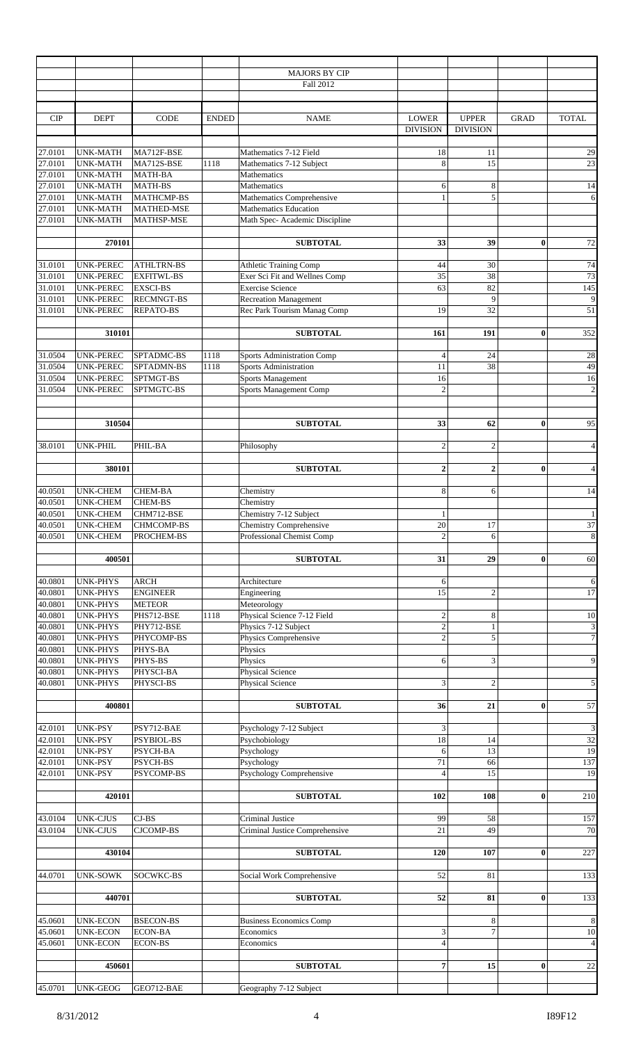|                    |                                    |                          |              | <b>MAJORS BY CIP</b>                                 |                                 |                                 |             |                             |
|--------------------|------------------------------------|--------------------------|--------------|------------------------------------------------------|---------------------------------|---------------------------------|-------------|-----------------------------|
|                    |                                    |                          |              | Fall 2012                                            |                                 |                                 |             |                             |
| <b>CIP</b>         | <b>DEPT</b>                        | <b>CODE</b>              | <b>ENDED</b> | <b>NAME</b>                                          | <b>LOWER</b><br><b>DIVISION</b> | <b>UPPER</b><br><b>DIVISION</b> | <b>GRAD</b> | <b>TOTAL</b>                |
|                    |                                    |                          |              |                                                      |                                 |                                 |             |                             |
| 27.0101            | <b>UNK-MATH</b><br><b>UNK-MATH</b> | MA712F-BSE<br>MA712S-BSE | 1118         | Mathematics 7-12 Field                               | 18<br>8                         | 11<br>15                        |             | 29<br>23                    |
| 27.0101<br>27.0101 | <b>UNK-MATH</b>                    | <b>MATH-BA</b>           |              | Mathematics 7-12 Subject<br>Mathematics              |                                 |                                 |             |                             |
| 27.0101            | <b>UNK-MATH</b>                    | <b>MATH-BS</b>           |              | Mathematics                                          | 6                               | $\,8$                           |             | 14                          |
| 27.0101            | <b>UNK-MATH</b>                    | MATHCMP-BS               |              | Mathematics Comprehensive                            | $\mathbf{1}$                    | 5                               |             | 6                           |
| 27.0101            | <b>UNK-MATH</b>                    | <b>MATHED-MSE</b>        |              | Mathematics Education                                |                                 |                                 |             |                             |
| 27.0101            | <b>UNK-MATH</b>                    | MATHSP-MSE               |              | Math Spec- Academic Discipline                       |                                 |                                 |             |                             |
|                    |                                    |                          |              |                                                      |                                 |                                 |             |                             |
|                    | 270101                             |                          |              | <b>SUBTOTAL</b>                                      | 33                              | 39                              | $\bf{0}$    | 72                          |
| 31.0101            | <b>UNK-PEREC</b>                   | <b>ATHLTRN-BS</b>        |              | Athletic Training Comp                               | 44                              | 30                              |             | 74                          |
| 31.0101            | UNK-PEREC                          | <b>EXFITWL-BS</b>        |              | Exer Sci Fit and Wellnes Comp                        | 35                              | 38                              |             | 73                          |
| 31.0101            | UNK-PEREC                          | <b>EXSCI-BS</b>          |              | <b>Exercise Science</b>                              | 63                              | 82                              |             | $\overline{145}$            |
| 31.0101            | UNK-PEREC                          | <b>RECMNGT-BS</b>        |              | <b>Recreation Management</b>                         |                                 | 9                               |             | 9                           |
| 31.0101            | UNK-PEREC                          | REPATO-BS                |              | Rec Park Tourism Manag Comp                          | 19                              | 32                              |             | 51                          |
|                    | 310101                             |                          |              | <b>SUBTOTAL</b>                                      | 161                             | 191                             | $\bf{0}$    | 352                         |
| 31.0504            | UNK-PEREC                          | SPTADMC-BS               | 1118         | Sports Administration Comp                           | $\overline{4}$                  | 24                              |             | 28                          |
| 31.0504            | <b>UNK-PEREC</b>                   | SPTADMN-BS               | 1118         | <b>Sports Administration</b>                         | 11                              | 38                              |             | 49                          |
| 31.0504            | <b>UNK-PEREC</b>                   | SPTMGT-BS                |              | Sports Management                                    | 16                              |                                 |             | 16                          |
| 31.0504            | UNK-PEREC                          | SPTMGTC-BS               |              | Sports Management Comp                               | $\overline{2}$                  |                                 |             | $\overline{c}$              |
|                    |                                    |                          |              |                                                      |                                 |                                 |             |                             |
|                    | 310504                             |                          |              | <b>SUBTOTAL</b>                                      | 33                              | 62                              | $\bf{0}$    | 95                          |
|                    |                                    |                          |              |                                                      |                                 |                                 |             |                             |
| 38.0101            | UNK-PHIL                           | PHIL-BA                  |              | Philosophy                                           | $\sqrt{2}$                      | $\overline{2}$                  |             | $\overline{4}$              |
|                    |                                    |                          |              |                                                      |                                 |                                 |             |                             |
|                    | 380101                             |                          |              | <b>SUBTOTAL</b>                                      | $\overline{2}$                  | $\overline{2}$                  | $\bf{0}$    | $\overline{4}$              |
|                    |                                    |                          |              |                                                      |                                 |                                 |             |                             |
| 40.0501            | <b>UNK-CHEM</b>                    | <b>CHEM-BA</b>           |              | Chemistry                                            | 8                               | 6                               |             | 14                          |
| 40.0501            | <b>UNK-CHEM</b>                    | <b>CHEM-BS</b>           |              | Chemistry                                            |                                 |                                 |             |                             |
| 40.0501            | <b>UNK-CHEM</b>                    | CHM712-BSE               |              | Chemistry 7-12 Subject                               | $\mathbf{1}$                    |                                 |             | $\mathbf{1}$                |
| 40.0501            | <b>UNK-CHEM</b>                    | CHMCOMP-BS               |              | Chemistry Comprehensive<br>Professional Chemist Comp | $20\,$<br>$\overline{2}$        | 17                              |             | 37                          |
| 40.0501            | <b>UNK-CHEM</b>                    | PROCHEM-BS               |              |                                                      |                                 | 6                               |             | $\bf{8}$                    |
|                    | 400501                             |                          |              | <b>SUBTOTAL</b>                                      | 31                              | 29                              | $\bf{0}$    | 60                          |
|                    |                                    |                          |              |                                                      |                                 |                                 |             |                             |
| 40.0801            | <b>UNK-PHYS</b>                    | <b>ARCH</b>              |              | Architecture                                         | 6                               |                                 |             | 6                           |
| 40.0801            | <b>UNK-PHYS</b>                    | <b>ENGINEER</b>          |              | Engineering                                          | 15                              | $\overline{2}$                  |             | 17                          |
| 40.0801            | <b>UNK-PHYS</b>                    | <b>METEOR</b>            |              | Meteorology                                          |                                 |                                 |             |                             |
| 40.0801            | <b>UNK-PHYS</b>                    | PHS712-BSE               | 1118         | Physical Science 7-12 Field                          | $\sqrt{2}$                      | $\,8$                           |             | 10                          |
| 40.0801            | <b>UNK-PHYS</b>                    | PHY712-BSE               |              | Physics 7-12 Subject                                 | $\overline{2}$                  | 1                               |             |                             |
| 40.0801            | <b>UNK-PHYS</b>                    | PHYCOMP-BS               |              | Physics Comprehensive                                | $\overline{2}$                  | 5                               |             | $rac{3}{7}$                 |
| 40.0801            | <b>UNK-PHYS</b>                    | PHYS-BA                  |              | Physics                                              |                                 |                                 |             |                             |
| 40.0801            | <b>UNK-PHYS</b>                    | PHYS-BS                  |              | Physics                                              | 6                               | 3                               |             | $\overline{9}$              |
| 40.0801            | <b>UNK-PHYS</b>                    | PHYSCI-BA                |              | Physical Science                                     |                                 |                                 |             |                             |
| 40.0801            | <b>UNK-PHYS</b>                    | PHYSCI-BS                |              | Physical Science                                     | $\mathfrak{Z}$                  | $\overline{2}$                  |             | 5                           |
|                    | 400801                             |                          |              | <b>SUBTOTAL</b>                                      | 36                              | 21                              | $\bf{0}$    | 57                          |
|                    |                                    |                          |              |                                                      |                                 |                                 |             |                             |
| 42.0101            | UNK-PSY                            | PSY712-BAE               |              | Psychology 7-12 Subject                              | $\ensuremath{\mathbf{3}}$       |                                 |             | $\ensuremath{\mathfrak{Z}}$ |
| 42.0101            | UNK-PSY                            | PSYBIOL-BS               |              | Psychobiology                                        | 18                              | 14                              |             | 32                          |
| 42.0101            | UNK-PSY                            | PSYCH-BA                 |              | Psychology                                           | 6                               | 13                              |             | 19                          |
| 42.0101            | <b>UNK-PSY</b>                     | PSYCH-BS                 |              | Psychology                                           | 71                              | 66                              |             | 137                         |
| 42.0101            | UNK-PSY                            | PSYCOMP-BS               |              | Psychology Comprehensive                             | $\overline{4}$                  | 15                              |             | 19                          |
|                    | 420101                             |                          |              | <b>SUBTOTAL</b>                                      | 102                             | 108                             | $\bf{0}$    | 210                         |
| 43.0104            | <b>UNK-CJUS</b>                    | $CJ-BS$                  |              | <b>Criminal Justice</b>                              | 99                              | 58                              |             | 157                         |
| 43.0104            | <b>UNK-CJUS</b>                    | <b>CJCOMP-BS</b>         |              | Criminal Justice Comprehensive                       | 21                              | 49                              |             | $70\,$                      |
|                    |                                    |                          |              |                                                      |                                 |                                 |             |                             |
|                    | 430104                             |                          |              | <b>SUBTOTAL</b>                                      | 120                             | 107                             | $\bf{0}$    | 227                         |
|                    |                                    |                          |              |                                                      |                                 |                                 |             |                             |
| 44.0701            | <b>UNK-SOWK</b>                    | SOCWKC-BS                |              | Social Work Comprehensive                            | 52                              | 81                              |             | 133                         |
|                    | 440701                             |                          |              | <b>SUBTOTAL</b>                                      | 52                              | 81                              | $\bf{0}$    | 133                         |
|                    |                                    |                          |              |                                                      |                                 |                                 |             |                             |
| 45.0601            | <b>UNK-ECON</b>                    | <b>BSECON-BS</b>         |              | Business Economics Comp                              |                                 | 8                               |             | $\,$ 8 $\,$                 |
| 45.0601            | <b>UNK-ECON</b>                    | <b>ECON-BA</b>           |              | Economics                                            | $\ensuremath{\mathbf{3}}$       | $\overline{7}$                  |             | 10                          |
| 45.0601            | UNK-ECON                           | <b>ECON-BS</b>           |              | Economics                                            | $\overline{4}$                  |                                 |             | $\overline{\mathcal{L}}$    |
|                    |                                    |                          |              |                                                      |                                 |                                 |             |                             |
|                    | 450601                             |                          |              | <b>SUBTOTAL</b>                                      | $\overline{7}$                  | 15                              | $\bf{0}$    | $\overline{22}$             |
|                    | 45.0701 UNK-GEOG GEO712-BAE        |                          |              | Geography 7-12 Subject                               |                                 |                                 |             |                             |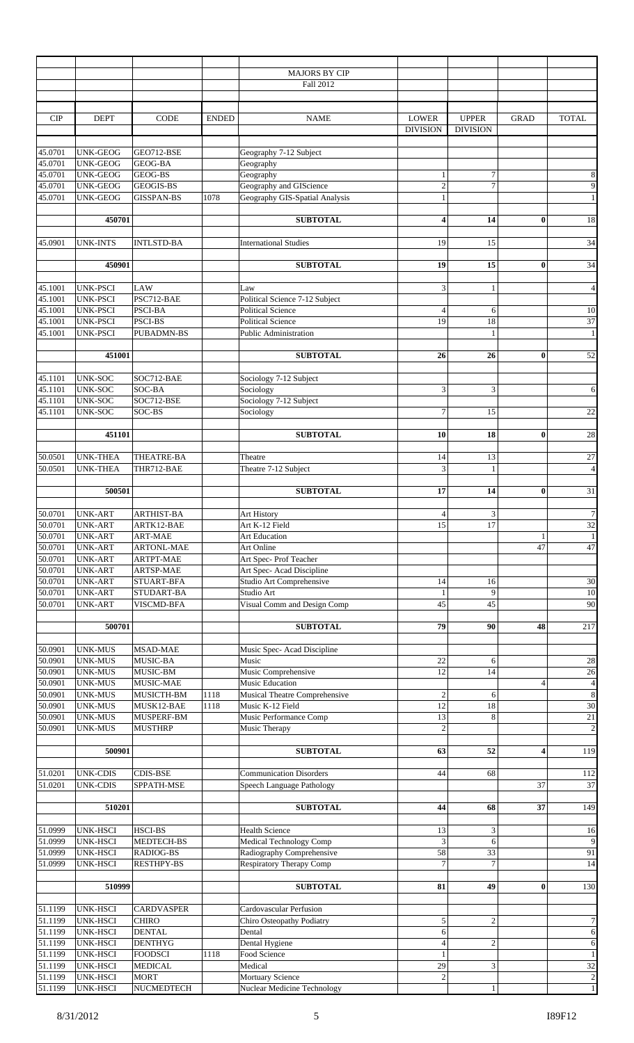|         |                  |                   |              | <b>MAJORS BY CIP</b>                 |                         |                  |                |                         |
|---------|------------------|-------------------|--------------|--------------------------------------|-------------------------|------------------|----------------|-------------------------|
|         |                  |                   |              | Fall 2012                            |                         |                  |                |                         |
|         |                  |                   |              |                                      |                         |                  |                |                         |
|         |                  |                   |              |                                      |                         |                  |                |                         |
|         |                  |                   |              |                                      |                         |                  |                |                         |
| CIP     | <b>DEPT</b>      | CODE              | <b>ENDED</b> | <b>NAME</b>                          | <b>LOWER</b>            | <b>UPPER</b>     | <b>GRAD</b>    | <b>TOTAL</b>            |
|         |                  |                   |              |                                      | <b>DIVISION</b>         | <b>DIVISION</b>  |                |                         |
|         |                  |                   |              |                                      |                         |                  |                |                         |
| 45.0701 | UNK-GEOG         | GEO712-BSE        |              | Geography 7-12 Subject               |                         |                  |                |                         |
| 45.0701 | UNK-GEOG         | <b>GEOG-BA</b>    |              | Geography                            |                         |                  |                |                         |
| 45.0701 | UNK-GEOG         | GEOG-BS           |              | Geography                            | $\mathbf{1}$            | $\tau$           |                | $\,$ 8 $\,$             |
| 45.0701 | UNK-GEOG         | GEOGIS-BS         |              | Geography and GIScience              | $\overline{c}$          | 7                |                | $\overline{9}$          |
| 45.0701 | UNK-GEOG         | <b>GISSPAN-BS</b> | 1078         | Geography GIS-Spatial Analysis       | $\mathbf{1}$            |                  |                | $1\,$                   |
|         |                  |                   |              |                                      |                         |                  |                |                         |
|         | 450701           |                   |              | <b>SUBTOTAL</b>                      | $\overline{\mathbf{4}}$ | 14               | $\bf{0}$       | 18                      |
|         |                  |                   |              |                                      |                         |                  |                |                         |
|         |                  |                   |              |                                      |                         |                  |                |                         |
| 45.0901 | <b>UNK-INTS</b>  | <b>INTLSTD-BA</b> |              | <b>International Studies</b>         | 19                      | 15               |                | 34                      |
|         |                  |                   |              |                                      |                         |                  |                |                         |
|         | 450901           |                   |              | <b>SUBTOTAL</b>                      | 19                      | 15               | $\bf{0}$       | 34                      |
|         |                  |                   |              |                                      |                         |                  |                |                         |
| 45.1001 | <b>UNK-PSCI</b>  | LAW               |              | Law                                  | 3                       | $\mathbf{1}$     |                | $\overline{4}$          |
| 45.1001 | <b>UNK-PSCI</b>  | PSC712-BAE        |              | Political Science 7-12 Subject       |                         |                  |                |                         |
| 45.1001 | <b>UNK-PSCI</b>  | PSCI-BA           |              | <b>Political Science</b>             | $\overline{4}$          | 6                |                | $10\,$                  |
| 45.1001 | <b>UNK-PSCI</b>  | <b>PSCI-BS</b>    |              | <b>Political Science</b>             | 19                      | 18               |                | $\overline{37}$         |
|         |                  |                   |              |                                      |                         |                  |                |                         |
| 45.1001 | <b>UNK-PSCI</b>  | <b>PUBADMN-BS</b> |              | <b>Public Administration</b>         |                         | $\mathbf{1}$     |                | $\mathbf{1}$            |
|         |                  |                   |              |                                      |                         |                  |                |                         |
|         | 451001           |                   |              | <b>SUBTOTAL</b>                      | 26                      | 26               | $\bf{0}$       | 52                      |
|         |                  |                   |              |                                      |                         |                  |                |                         |
| 45.1101 | UNK-SOC          | SOC712-BAE        |              | Sociology 7-12 Subject               |                         |                  |                |                         |
| 45.1101 | <b>UNK-SOC</b>   | SOC-BA            |              | Sociology                            | 3                       | 3                |                | $\epsilon$              |
| 45.1101 | UNK-SOC          | SOC712-BSE        |              | Sociology 7-12 Subject               |                         |                  |                |                         |
| 45.1101 | UNK-SOC          | SOC-BS            |              | Sociology                            | $\overline{7}$          | 15               |                | $\overline{22}$         |
|         |                  |                   |              |                                      |                         |                  |                |                         |
|         |                  |                   |              |                                      |                         |                  |                |                         |
|         | 451101           |                   |              | <b>SUBTOTAL</b>                      | 10                      | 18               | $\bf{0}$       | 28                      |
|         |                  |                   |              |                                      |                         |                  |                |                         |
| 50.0501 | <b>UNK-THEA</b>  | THEATRE-BA        |              | Theatre                              | 14                      | 13               |                | $27\,$                  |
| 50.0501 | <b>UNK-THEA</b>  | THR712-BAE        |              | Theatre 7-12 Subject                 | 3                       | $\mathbf{1}$     |                | $\overline{4}$          |
|         |                  |                   |              |                                      |                         |                  |                |                         |
|         | 500501           |                   |              | <b>SUBTOTAL</b>                      | 17                      | 14               | $\bf{0}$       | 31                      |
|         |                  |                   |              |                                      |                         |                  |                |                         |
| 50.0701 | UNK-ART          | ARTHIST-BA        |              | Art History                          | $\overline{4}$          | 3                |                | $\boldsymbol{7}$        |
| 50.0701 | <b>UNK-ART</b>   | ARTK12-BAE        |              | Art K-12 Field                       | 15                      | 17               |                | $32\,$                  |
| 50.0701 |                  | <b>ART-MAE</b>    |              | <b>Art Education</b>                 |                         |                  |                |                         |
|         | <b>UNK-ART</b>   |                   |              |                                      |                         |                  | $\mathbf{1}$   | $\,1\,$                 |
| 50.0701 | <b>UNK-ART</b>   | <b>ARTONL-MAE</b> |              | Art Online                           |                         |                  | 47             | 47                      |
| 50.0701 | <b>UNK-ART</b>   | <b>ARTPT-MAE</b>  |              | Art Spec-Prof Teacher                |                         |                  |                |                         |
| 50.0701 | <b>UNK-ART</b>   | ARTSP-MAE         |              | Art Spec-Acad Discipline             |                         |                  |                |                         |
| 50.0701 | <b>UNK-ART</b>   | <b>STUART-BFA</b> |              | Studio Art Comprehensive             | 14                      | 16               |                | 30                      |
| 50.0701 | <b>UNK-ART</b>   | STUDART-BA        |              | Studio Art                           | $\mathbf{1}$            | 9                |                | 10                      |
| 50.0701 | <b>UNK-ART</b>   | VISCMD-BFA        |              | Visual Comm and Design Comp          | 45                      | 45               |                | 90                      |
|         |                  |                   |              |                                      |                         |                  |                |                         |
|         | 500701           |                   |              | <b>SUBTOTAL</b>                      | 79                      | 90               | 48             | 217                     |
|         |                  |                   |              |                                      |                         |                  |                |                         |
|         |                  |                   |              |                                      |                         |                  |                |                         |
| 50.0901 | <b>UNK-MUS</b>   | <b>MSAD-MAE</b>   |              | Music Spec-Acad Discipline           |                         |                  |                |                         |
| 50.0901 | <b>UNK-MUS</b>   | MUSIC-BA          |              | Music                                | 22                      | 6                |                | $28\,$                  |
| 50.0901 | <b>UNK-MUS</b>   | MUSIC-BM          |              | Music Comprehensive                  | 12                      | 14               |                | $26\,$                  |
| 50.0901 | <b>UNK-MUS</b>   | MUSIC-MAE         |              | Music Education                      |                         |                  | $\overline{4}$ | $\sqrt{4}$              |
| 50.0901 | <b>UNK-MUS</b>   | MUSICTH-BM        | 1118         | <b>Musical Theatre Comprehensive</b> | $\overline{2}$          | 6                |                | $\overline{\bf 8}$      |
| 50.0901 | <b>UNK-MUS</b>   | MUSK12-BAE        | 1118         | Music K-12 Field                     | $\overline{12}$         | 18               |                | 30                      |
| 50.0901 | <b>UNK-MUS</b>   | MUSPERF-BM        |              | Music Performance Comp               | 13                      | 8                |                | $21\,$                  |
| 50.0901 | <b>UNK-MUS</b>   | <b>MUSTHRP</b>    |              | Music Therapy                        | $\overline{c}$          |                  |                | $\sqrt{2}$              |
|         |                  |                   |              |                                      |                         |                  |                |                         |
|         | 500901           |                   |              | <b>SUBTOTAL</b>                      | 63                      | 52               | 4              | 119                     |
|         |                  |                   |              |                                      |                         |                  |                |                         |
|         |                  |                   |              |                                      |                         |                  |                |                         |
| 51.0201 | <b>UNK-CDIS</b>  | <b>CDIS-BSE</b>   |              | <b>Communication Disorders</b>       | 44                      | 68               |                | 112                     |
| 51.0201 | <b>UNK-CDIS</b>  | SPPATH-MSE        |              | Speech Language Pathology            |                         |                  | 37             | 37                      |
|         |                  |                   |              |                                      |                         |                  |                |                         |
|         | 510201           |                   |              | <b>SUBTOTAL</b>                      | 44                      | 68               | 37             | 149                     |
|         |                  |                   |              |                                      |                         |                  |                |                         |
| 51.0999 | UNK-HSCI         | HSCI-BS           |              | <b>Health Science</b>                | 13                      | 3                |                | 16                      |
| 51.0999 | UNK-HSCI         | MEDTECH-BS        |              | Medical Technology Comp              | 3                       | 6                |                | $\overline{9}$          |
| 51.0999 | <b>UNK-HSCI</b>  | RADIOG-BS         |              | Radiography Comprehensive            | 58                      | 33               |                | 91                      |
| 51.0999 | UNK-HSCI         | <b>RESTHPY-BS</b> |              | <b>Respiratory Therapy Comp</b>      | $\overline{7}$          | $\overline{7}$   |                | 14                      |
|         |                  |                   |              |                                      |                         |                  |                |                         |
|         |                  |                   |              |                                      |                         |                  |                |                         |
|         | 510999           |                   |              | <b>SUBTOTAL</b>                      | 81                      | 49               | $\bf{0}$       | 130                     |
|         |                  |                   |              |                                      |                         |                  |                |                         |
| 51.1199 | UNK-HSCI         | <b>CARDVASPER</b> |              | Cardovascular Perfusion              |                         |                  |                |                         |
| 51.1199 | <b>UNK-HSCI</b>  | <b>CHIRO</b>      |              | Chiro Osteopathy Podiatry            | $\sqrt{5}$              | $\boldsymbol{2}$ |                | $\boldsymbol{7}$        |
| 51.1199 | UNK-HSCI         | <b>DENTAL</b>     |              | Dental                               | $\sqrt{6}$              |                  |                | $\overline{6}$          |
| 51.1199 | <b>UNK-HSCI</b>  | <b>DENTHYG</b>    |              | Dental Hygiene                       | $\overline{4}$          | $\overline{c}$   |                | $\sqrt{6}$              |
| 51.1199 | <b>UNK-HSCI</b>  | <b>FOODSCI</b>    | 1118         | Food Science                         | $\mathbf{1}$            |                  |                | $\,1\,$                 |
| 51.1199 | UNK-HSCI         | <b>MEDICAL</b>    |              | Medical                              | 29                      | 3                |                | $\overline{32}$         |
|         |                  |                   |              |                                      |                         |                  |                |                         |
| 51.1199 | <b>UNK-HSCI</b>  | <b>MORT</b>       |              | Mortuary Science                     | $\sqrt{2}$              |                  |                | $\overline{\mathbf{c}}$ |
|         | 51.1199 UNK-HSCI | NUCMEDTECH        |              | Nuclear Medicine Technology          |                         |                  |                | $\frac{1}{2}$           |